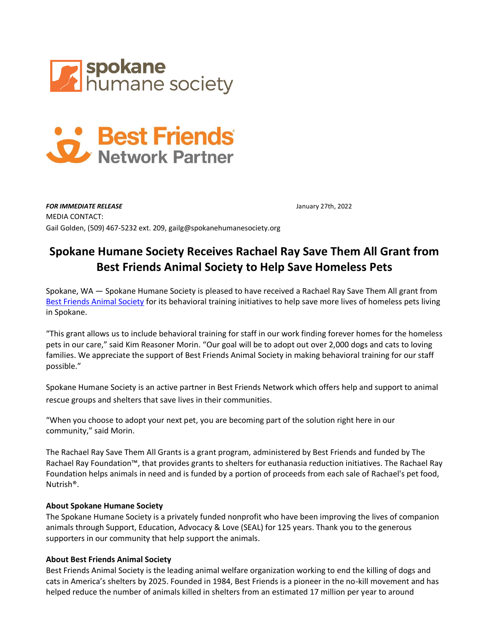



**FOR IMMEDIATE RELEASE** *FOR IMMEDIATE RELEASE* MEDIA CONTACT: Gail Golden, (509) 467-5232 ext. 209, gailg@spokanehumanesociety.org

## **Spokane Humane Society Receives Rachael Ray Save Them All Grant from Best Friends Animal Society to Help Save Homeless Pets**

Spokane, WA — Spokane Humane Society is pleased to have received a Rachael Ray Save Them All grant from [Best Friends Animal Society](http://www.bestfriends.org/) for its behavioral training initiatives to help save more lives of homeless pets living in Spokane.

"This grant allows us to include behavioral training for staff in our work finding forever homes for the homeless pets in our care," said Kim Reasoner Morin. "Our goal will be to adopt out over 2,000 dogs and cats to loving families. We appreciate the support of Best Friends Animal Society in making behavioral training for our staff possible."

Spokane Humane Society is an active partner in Best Friends Network which offers help and support to animal rescue groups and shelters that save lives in their communities.

"When you choose to adopt your next pet, you are becoming part of the solution right here in our community," said Morin.

The Rachael Ray Save Them All Grants is a grant program, administered by Best Friends and funded by The Rachael Ray Foundation™, that provides grants to shelters for euthanasia reduction initiatives. The Rachael Ray Foundation helps animals in need and is funded by a portion of proceeds from each sale of Rachael's pet food, Nutrish®.

## **About Spokane Humane Society**

The Spokane Humane Society is a privately funded nonprofit who have been improving the lives of companion animals through Support, Education, Advocacy & Love (SEAL) for 125 years. Thank you to the generous supporters in our community that help support the animals.

## **About Best Friends Animal Society**

Best Friends Animal Society is the leading animal welfare organization working to end the killing of dogs and cats in America's shelters by 2025. Founded in 1984, Best Friends is a pioneer in the no-kill movement and has helped reduce the number of animals killed in shelters from an estimated 17 million per year to around